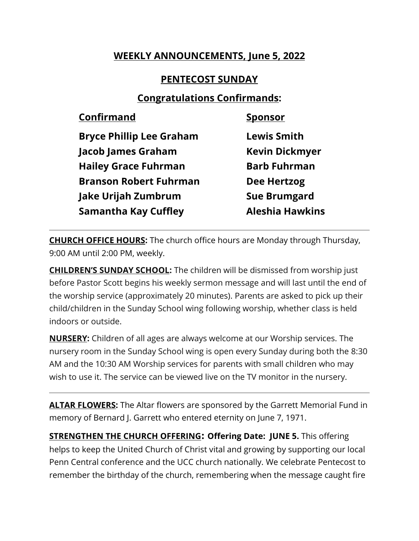## **WEEKLY ANNOUNCEMENTS, June 5, 2022**

## **PENTECOST SUNDAY**

## **Congratulations Confirmands:**

| <b>Confirmand</b>               | <b>Sponsor</b>         |
|---------------------------------|------------------------|
| <b>Bryce Phillip Lee Graham</b> | <b>Lewis Smith</b>     |
| <b>Jacob James Graham</b>       | <b>Kevin Dickmyer</b>  |
| <b>Hailey Grace Fuhrman</b>     | <b>Barb Fuhrman</b>    |
| <b>Branson Robert Fuhrman</b>   | <b>Dee Hertzog</b>     |
| Jake Urijah Zumbrum             | <b>Sue Brumgard</b>    |
| <b>Samantha Kay Cuffley</b>     | <b>Aleshia Hawkins</b> |
|                                 |                        |

**CHURCH OFFICE HOURS:** The church office hours are Monday through Thursday, 9:00 AM until 2:00 PM, weekly.

**CHILDREN'S SUNDAY SCHOOL:** The children will be dismissed from worship just before Pastor Scott begins his weekly sermon message and will last until the end of the worship service (approximately 20 minutes). Parents are asked to pick up their child/children in the Sunday School wing following worship, whether class is held indoors or outside.

**NURSERY:** Children of all ages are always welcome at our Worship services. The nursery room in the Sunday School wing is open every Sunday during both the 8:30 AM and the 10:30 AM Worship services for parents with small children who may wish to use it. The service can be viewed live on the TV monitor in the nursery.

**ALTAR FLOWERS:** The Altar flowers are sponsored by the Garrett Memorial Fund in memory of Bernard J. Garrett who entered eternity on June 7, 1971.

**STRENGTHEN THE CHURCH OFFERING: Offering Date: JUNE 5.** This offering helps to keep the United Church of Christ vital and growing by supporting our local Penn Central conference and the UCC church nationally. We celebrate Pentecost to remember the birthday of the church, remembering when the message caught fire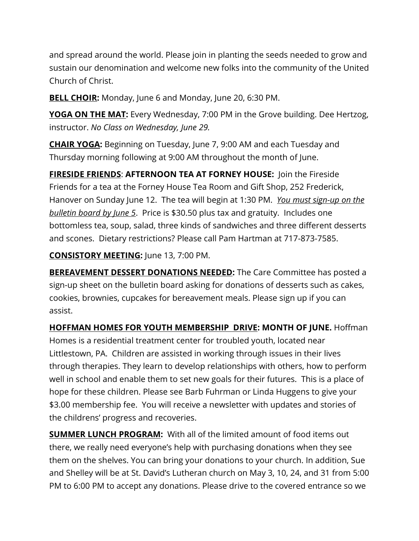and spread around the world. Please join in planting the seeds needed to grow and sustain our denomination and welcome new folks into the community of the United Church of Christ.

**BELL CHOIR:** Monday, June 6 and Monday, June 20, 6:30 PM.

**YOGA ON THE MAT:** Every Wednesday, 7:00 PM in the Grove building. Dee Hertzog, instructor. *No Class on Wednesday, June 29.*

**CHAIR YOGA:** Beginning on Tuesday, June 7, 9:00 AM and each Tuesday and Thursday morning following at 9:00 AM throughout the month of June.

**FIRESIDE FRIENDS**: **AFTERNOON TEA AT FORNEY HOUSE:** Join the Fireside Friends for a tea at the Forney House Tea Room and Gift Shop, 252 Frederick, Hanover on Sunday June 12. The tea will begin at 1:30 PM. *You must sign-up on the bulletin board by June 5*. Price is \$30.50 plus tax and gratuity. Includes one bottomless tea, soup, salad, three kinds of sandwiches and three different desserts and scones. Dietary restrictions? Please call Pam Hartman at 717-873-7585.

**CONSISTORY MEETING:** June 13, 7:00 PM.

**BEREAVEMENT DESSERT DONATIONS NEEDED:** The Care Committee has posted a sign-up sheet on the bulletin board asking for donations of desserts such as cakes, cookies, brownies, cupcakes for bereavement meals. Please sign up if you can assist.

**HOFFMAN HOMES FOR YOUTH MEMBERSHIP DRIVE: MONTH OF JUNE.** Hoffman Homes is a residential treatment center for troubled youth, located near Littlestown, PA. Children are assisted in working through issues in their lives through therapies. They learn to develop relationships with others, how to perform well in school and enable them to set new goals for their futures. This is a place of hope for these children. Please see Barb Fuhrman or Linda Huggens to give your \$3.00 membership fee. You will receive a newsletter with updates and stories of the childrens' progress and recoveries.

**SUMMER LUNCH PROGRAM:** With all of the limited amount of food items out there, we really need everyone's help with purchasing donations when they see them on the shelves. You can bring your donations to your church. In addition, Sue and Shelley will be at St. David's Lutheran church on May 3, 10, 24, and 31 from 5:00 PM to 6:00 PM to accept any donations. Please drive to the covered entrance so we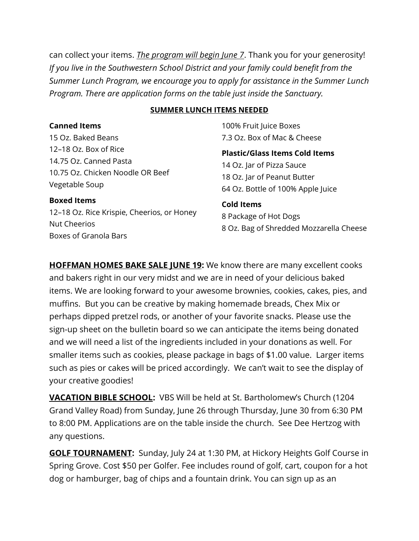can collect your items. *The program will begin June 7*. Thank you for your generosity! *If you live in the Southwestern School District and your family could benefit from the Summer Lunch Program, we encourage you to apply for assistance in the Summer Lunch Program. There are application forms on the table just inside the Sanctuary.* 

#### **SUMMER LUNCH ITEMS NEEDED**

**Canned Items** 15 Oz. Baked Beans 12–18 Oz. Box of Rice 14.75 Oz. Canned Pasta 10.75 Oz. Chicken Noodle OR Beef Vegetable Soup

100% Fruit Juice Boxes 7.3 Oz. Box of Mac & Cheese

**Plastic/Glass Items Cold Items** 14 Oz. Jar of Pizza Sauce 18 Oz. Jar of Peanut Butter 64 Oz. Bottle of 100% Apple Juice

#### **Boxed Items**

12–18 Oz. Rice Krispie, Cheerios, or Honey Nut Cheerios Boxes of Granola Bars

# **Cold Items**

8 Package of Hot Dogs 8 Oz. Bag of Shredded Mozzarella Cheese

**HOFFMAN HOMES BAKE SALE JUNE 19:** We know there are many excellent cooks and bakers right in our very midst and we are in need of your delicious baked items. We are looking forward to your awesome brownies, cookies, cakes, pies, and muffins. But you can be creative by making homemade breads, Chex Mix or perhaps dipped pretzel rods, or another of your favorite snacks. Please use the sign-up sheet on the bulletin board so we can anticipate the items being donated and we will need a list of the ingredients included in your donations as well. For smaller items such as cookies, please package in bags of \$1.00 value. Larger items such as pies or cakes will be priced accordingly. We can't wait to see the display of your creative goodies!

**VACATION BIBLE SCHOOL:** VBS Will be held at St. Bartholomew's Church (1204 Grand Valley Road) from Sunday, June 26 through Thursday, June 30 from 6:30 PM to 8:00 PM. Applications are on the table inside the church. See Dee Hertzog with any questions.

**GOLF TOURNAMENT:** Sunday, July 24 at 1:30 PM, at Hickory Heights Golf Course in Spring Grove. Cost \$50 per Golfer. Fee includes round of golf, cart, coupon for a hot dog or hamburger, bag of chips and a fountain drink. You can sign up as an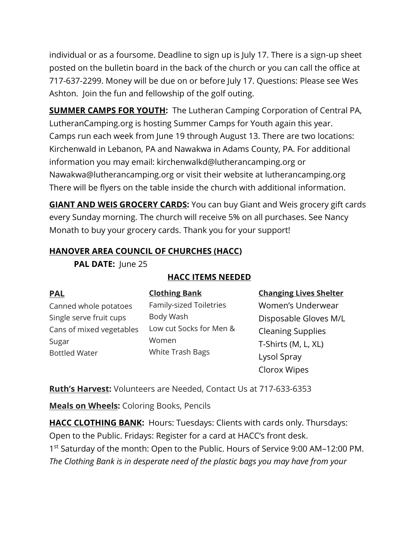individual or as a foursome. Deadline to sign up is July 17. There is a sign-up sheet posted on the bulletin board in the back of the church or you can call the office at 717-637-2299. Money will be due on or before July 17. Questions: Please see Wes Ashton. Join the fun and fellowship of the golf outing.

**SUMMER CAMPS FOR YOUTH:** The Lutheran Camping Corporation of Central PA, LutheranCamping.org is hosting Summer Camps for Youth again this year. Camps run each week from June 19 through August 13. There are two locations: Kirchenwald in Lebanon, PA and Nawakwa in Adams County, PA. For additional information you may email: kirchenwalkd@lutherancamping.org or Nawakwa@lutherancamping.org or visit their website at lutherancamping.org There will be flyers on the table inside the church with additional information.

**GIANT AND WEIS GROCERY CARDS:** You can buy Giant and Weis grocery gift cards every Sunday morning. The church will receive 5% on all purchases. See Nancy Monath to buy your grocery cards. Thank you for your support!

### **HANOVER AREA COUNCIL OF CHURCHES (HACC)**

PAL DATE: June 25

| <b>PAL</b>               | <b>Clothing Bank</b>             | <b>Changing Lives Shelter</b> |
|--------------------------|----------------------------------|-------------------------------|
| Canned whole potatoes    | Family-sized Toiletries          | Women's Underwear             |
| Single serve fruit cups  | Body Wash                        | Disposable Gloves M/L         |
| Cans of mixed vegetables | Low cut Socks for Men &          | <b>Cleaning Supplies</b>      |
| Sugar                    | Women<br><b>White Trash Bags</b> | T-Shirts (M, L, XL)           |
| <b>Bottled Water</b>     |                                  | Lysol Spray                   |
|                          |                                  | Clorox Wipes                  |

### **HACC ITEMS NEEDED**

**Ruth's Harvest:** Volunteers are Needed, Contact Us at 717-633-6353

**Meals on Wheels:** Coloring Books, Pencils

**HACC CLOTHING BANK:** Hours: Tuesdays: Clients with cards only. Thursdays: Open to the Public. Fridays: Register for a card at HACC's front desk. 1<sup>st</sup> Saturday of the month: Open to the Public. Hours of Service 9:00 AM-12:00 PM. *The Clothing Bank is in desperate need of the plastic bags you may have from your*